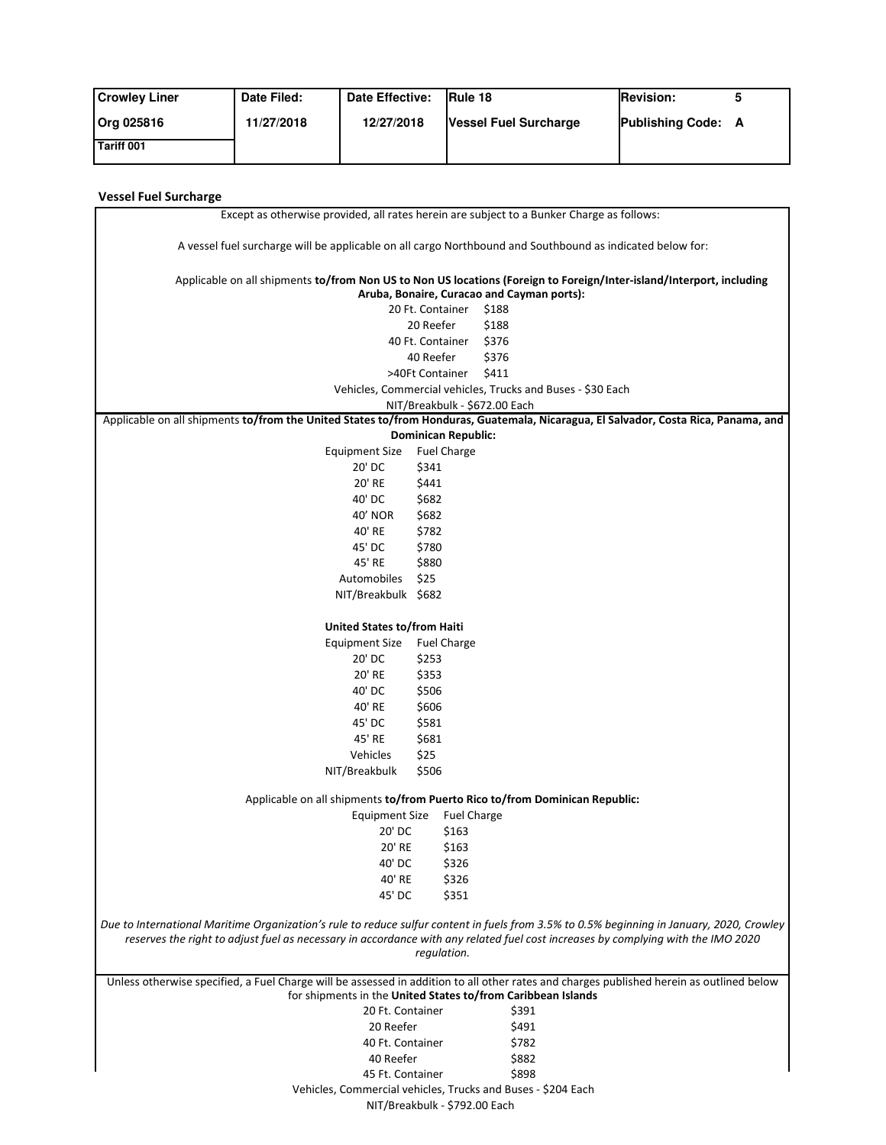| <b>Crowley Liner</b> | Date Filed: | Date Effective: | <b>IRule 18</b>              | <b>Revision:</b>          |  |
|----------------------|-------------|-----------------|------------------------------|---------------------------|--|
| Org 025816           | 11/27/2018  | 12/27/2018      | <b>Vessel Fuel Surcharge</b> | <b>Publishing Code: A</b> |  |
| Tariff 001           |             |                 |                              |                           |  |

## **Vessel Fuel Surcharge**

Ė

| Except as otherwise provided, all rates herein are subject to a Bunker Charge as follows:                                                                          |                               |                                                                                                                                    |  |  |  |  |  |
|--------------------------------------------------------------------------------------------------------------------------------------------------------------------|-------------------------------|------------------------------------------------------------------------------------------------------------------------------------|--|--|--|--|--|
| A vessel fuel surcharge will be applicable on all cargo Northbound and Southbound as indicated below for:                                                          |                               |                                                                                                                                    |  |  |  |  |  |
| Applicable on all shipments to/from Non US to Non US locations (Foreign to Foreign/Inter-island/Interport, including<br>Aruba, Bonaire, Curacao and Cayman ports): |                               |                                                                                                                                    |  |  |  |  |  |
|                                                                                                                                                                    | 20 Ft. Container              | \$188                                                                                                                              |  |  |  |  |  |
|                                                                                                                                                                    | 20 Reefer                     | \$188                                                                                                                              |  |  |  |  |  |
|                                                                                                                                                                    | 40 Ft. Container              | \$376                                                                                                                              |  |  |  |  |  |
|                                                                                                                                                                    | 40 Reefer                     | \$376                                                                                                                              |  |  |  |  |  |
|                                                                                                                                                                    | >40Ft Container               | \$411                                                                                                                              |  |  |  |  |  |
|                                                                                                                                                                    |                               |                                                                                                                                    |  |  |  |  |  |
| Vehicles, Commercial vehicles, Trucks and Buses - \$30 Each<br>NIT/Breakbulk - \$672.00 Each                                                                       |                               |                                                                                                                                    |  |  |  |  |  |
|                                                                                                                                                                    |                               | Applicable on all shipments to/from the United States to/from Honduras, Guatemala, Nicaragua, El Salvador, Costa Rica, Panama, and |  |  |  |  |  |
|                                                                                                                                                                    | <b>Dominican Republic:</b>    |                                                                                                                                    |  |  |  |  |  |
| <b>Equipment Size</b>                                                                                                                                              | <b>Fuel Charge</b>            |                                                                                                                                    |  |  |  |  |  |
| 20' DC                                                                                                                                                             | \$341                         |                                                                                                                                    |  |  |  |  |  |
| 20' RE                                                                                                                                                             | \$441                         |                                                                                                                                    |  |  |  |  |  |
| 40' DC                                                                                                                                                             | \$682                         |                                                                                                                                    |  |  |  |  |  |
| 40' NOR                                                                                                                                                            | \$682                         |                                                                                                                                    |  |  |  |  |  |
| 40' RE                                                                                                                                                             | \$782                         |                                                                                                                                    |  |  |  |  |  |
|                                                                                                                                                                    |                               |                                                                                                                                    |  |  |  |  |  |
| 45' DC                                                                                                                                                             | \$780<br>\$880                |                                                                                                                                    |  |  |  |  |  |
| 45' RE                                                                                                                                                             |                               |                                                                                                                                    |  |  |  |  |  |
| Automobiles                                                                                                                                                        | \$25                          |                                                                                                                                    |  |  |  |  |  |
| NIT/Breakbulk \$682                                                                                                                                                |                               |                                                                                                                                    |  |  |  |  |  |
| United States to/from Haiti                                                                                                                                        |                               |                                                                                                                                    |  |  |  |  |  |
| Equipment Size                                                                                                                                                     | <b>Fuel Charge</b>            |                                                                                                                                    |  |  |  |  |  |
| 20' DC                                                                                                                                                             | \$253                         |                                                                                                                                    |  |  |  |  |  |
| 20' RE                                                                                                                                                             | \$353                         |                                                                                                                                    |  |  |  |  |  |
| 40' DC                                                                                                                                                             | \$506                         |                                                                                                                                    |  |  |  |  |  |
| 40' RE                                                                                                                                                             | \$606                         |                                                                                                                                    |  |  |  |  |  |
| 45' DC                                                                                                                                                             | \$581                         |                                                                                                                                    |  |  |  |  |  |
| 45' RE                                                                                                                                                             | \$681                         |                                                                                                                                    |  |  |  |  |  |
| Vehicles                                                                                                                                                           | \$25                          |                                                                                                                                    |  |  |  |  |  |
| NIT/Breakbulk                                                                                                                                                      | \$506                         |                                                                                                                                    |  |  |  |  |  |
|                                                                                                                                                                    |                               |                                                                                                                                    |  |  |  |  |  |
| Applicable on all shipments to/from Puerto Rico to/from Dominican Republic:                                                                                        |                               |                                                                                                                                    |  |  |  |  |  |
| Equipment Size                                                                                                                                                     | <b>Fuel Charge</b>            |                                                                                                                                    |  |  |  |  |  |
| 20' DC                                                                                                                                                             | \$163                         |                                                                                                                                    |  |  |  |  |  |
| 20' RE                                                                                                                                                             | \$163                         |                                                                                                                                    |  |  |  |  |  |
| 40' DC                                                                                                                                                             | \$326                         |                                                                                                                                    |  |  |  |  |  |
| 40' RE                                                                                                                                                             | \$326                         |                                                                                                                                    |  |  |  |  |  |
| 45' DC                                                                                                                                                             | \$351                         |                                                                                                                                    |  |  |  |  |  |
|                                                                                                                                                                    |                               |                                                                                                                                    |  |  |  |  |  |
| Due to International Maritime Organization's rule to reduce sulfur content in fuels from 3.5% to 0.5% beginning in January, 2020, Crowley                          |                               |                                                                                                                                    |  |  |  |  |  |
| reserves the right to adjust fuel as necessary in accordance with any related fuel cost increases by complying with the IMO 2020                                   |                               |                                                                                                                                    |  |  |  |  |  |
|                                                                                                                                                                    | regulation.                   |                                                                                                                                    |  |  |  |  |  |
| Unless otherwise specified, a Fuel Charge will be assessed in addition to all other rates and charges published herein as outlined below                           |                               |                                                                                                                                    |  |  |  |  |  |
| for shipments in the United States to/from Caribbean Islands                                                                                                       |                               |                                                                                                                                    |  |  |  |  |  |
| 20 Ft. Container                                                                                                                                                   |                               | \$391                                                                                                                              |  |  |  |  |  |
| 20 Reefer                                                                                                                                                          |                               | \$491                                                                                                                              |  |  |  |  |  |
| 40 Ft. Container                                                                                                                                                   |                               | \$782                                                                                                                              |  |  |  |  |  |
| 40 Reefer                                                                                                                                                          |                               | \$882                                                                                                                              |  |  |  |  |  |
| 45 Ft. Container                                                                                                                                                   |                               | \$898                                                                                                                              |  |  |  |  |  |
| Vehicles, Commercial vehicles, Trucks and Buses - \$204 Each                                                                                                       |                               |                                                                                                                                    |  |  |  |  |  |
|                                                                                                                                                                    | NIT/Breakbulk - \$792.00 Each |                                                                                                                                    |  |  |  |  |  |
|                                                                                                                                                                    |                               |                                                                                                                                    |  |  |  |  |  |